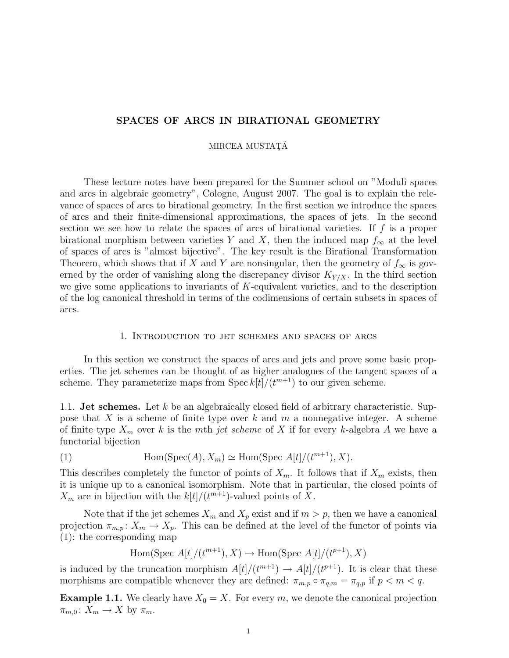## SPACES OF ARCS IN BIRATIONAL GEOMETRY

#### MIRCEA MUSTAȚĂ

These lecture notes have been prepared for the Summer school on "Moduli spaces and arcs in algebraic geometry", Cologne, August 2007. The goal is to explain the relevance of spaces of arcs to birational geometry. In the first section we introduce the spaces of arcs and their finite-dimensional approximations, the spaces of jets. In the second section we see how to relate the spaces of arcs of birational varieties. If  $f$  is a proper birational morphism between varieties Y and X, then the induced map  $f_{\infty}$  at the level of spaces of arcs is "almost bijective". The key result is the Birational Transformation Theorem, which shows that if X and Y are nonsingular, then the geometry of  $f_{\infty}$  is governed by the order of vanishing along the discrepancy divisor  $K_{Y/X}$ . In the third section we give some applications to invariants of K-equivalent varieties, and to the description of the log canonical threshold in terms of the codimensions of certain subsets in spaces of arcs.

#### 1. Introduction to jet schemes and spaces of arcs

In this section we construct the spaces of arcs and jets and prove some basic properties. The jet schemes can be thought of as higher analogues of the tangent spaces of a scheme. They parameterize maps from Spec  $k[t]/(t^{m+1})$  to our given scheme.

1.1. **Jet schemes.** Let k be an algebraically closed field of arbitrary characteristic. Suppose that  $X$  is a scheme of finite type over  $k$  and  $m$  a nonnegative integer. A scheme of finite type  $X_m$  over k is the mth jet scheme of X if for every k-algebra A we have a functorial bijection

(1) 
$$
\text{Hom}(\text{Spec}(A), X_m) \simeq \text{Hom}(\text{Spec } A[t]/(t^{m+1}), X).
$$

This describes completely the functor of points of  $X_m$ . It follows that if  $X_m$  exists, then it is unique up to a canonical isomorphism. Note that in particular, the closed points of  $X_m$  are in bijection with the  $k[t]/(t^{m+1})$ -valued points of X.

Note that if the jet schemes  $X_m$  and  $X_p$  exist and if  $m > p$ , then we have a canonical projection  $\pi_{m,p}: X_m \to X_p$ . This can be defined at the level of the functor of points via (1): the corresponding map

Hom(Spec  $A[t]/(t^{m+1}), X) \rightarrow$  Hom(Spec  $A[t]/(t^{p+1}), X)$ 

is induced by the truncation morphism  $A[t]/(t^{m+1}) \rightarrow A[t]/(t^{p+1})$ . It is clear that these morphisms are compatible whenever they are defined:  $\pi_{m,p} \circ \pi_{q,m} = \pi_{q,p}$  if  $p < m < q$ .

**Example 1.1.** We clearly have  $X_0 = X$ . For every m, we denote the canonical projection  $\pi_{m,0} \colon X_m \to X$  by  $\pi_m$ .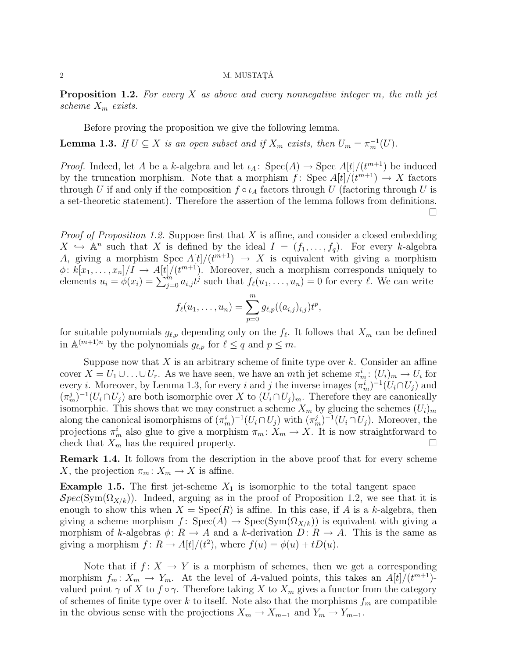### $2\,$  M. MUSTAT $\check{A}$

**Proposition 1.2.** For every X as above and every nonnegative integer m, the mth jet scheme  $X_m$  exists.

Before proving the proposition we give the following lemma.

**Lemma 1.3.** If  $U \subseteq X$  is an open subset and if  $X_m$  exists, then  $U_m = \pi_m^{-1}(U)$ .

*Proof.* Indeed, let A be a k-algebra and let  $\iota_A$ :  $Spec(A) \to Spec A[t]/(t^{m+1})$  be induced by the truncation morphism. Note that a morphism  $f: Spec A[t]/(t^{m+1}) \rightarrow X$  factors through U if and only if the composition  $f \circ \iota_A$  factors through U (factoring through U is a set-theoretic statement). Therefore the assertion of the lemma follows from definitions.  $\Box$ 

*Proof of Proposition 1.2.* Suppose first that X is affine, and consider a closed embedding  $X \nightharpoonup \mathbb{A}^n$  such that X is defined by the ideal  $I = (f_1, \ldots, f_q)$ . For every k-algebra A, giving a morphism Spec  $A[t]/(t^{m+1}) \rightarrow X$  is equivalent with giving a morphism  $\phi: k[x_1,\ldots,x_n]/I \to A[t]/(t^{m+1})$ . Moreover, such a morphism corresponds uniquely to elements  $u_i = \phi(x_i) = \sum_{j=0}^{m} a_{i,j} t^j$  such that  $f_\ell(u_1, \ldots, u_n) = 0$  for every  $\ell$ . We can write

$$
f_{\ell}(u_1,\ldots,u_n) = \sum_{p=0}^m g_{\ell,p}((a_{i,j})_{i,j}) t^p,
$$

for suitable polynomials  $g_{\ell,p}$  depending only on the  $f_{\ell}$ . It follows that  $X_m$  can be defined in  $\mathbb{A}^{(m+1)n}$  by the polynomials  $g_{\ell,p}$  for  $\ell \leq q$  and  $p \leq m$ .

Suppose now that  $X$  is an arbitrary scheme of finite type over  $k$ . Consider an affine cover  $X = U_1 \cup \ldots \cup U_r$ . As we have seen, we have an mth jet scheme  $\pi_m^i : (U_i)_m \to U_i$  for every *i*. Moreover, by Lemma 1.3, for every *i* and *j* the inverse images  $(\pi_m^i)^{-1}(U_i \cap U_j)$  and  $(\pi_m^j)^{-1}(U_i \cap U_j)$  are both isomorphic over X to  $(U_i \cap U_j)_m$ . Therefore they are canonically isomorphic. This shows that we may construct a scheme  $X_m$  by glueing the schemes  $(U_i)_m$ along the canonical isomorphisms of  $(\pi_m^i)^{-1}(U_i \cap U_j)$  with  $(\pi_m^j)^{-1}(U_i \cap U_j)$ . Moreover, the projections  $\pi_m^i$  also glue to give a morphism  $\pi_m: X_m \to X$ . It is now straightforward to check that  $X_m$  has the required property.

Remark 1.4. It follows from the description in the above proof that for every scheme X, the projection  $\pi_m: X_m \to X$  is affine.

**Example 1.5.** The first jet-scheme  $X_1$  is isomorphic to the total tangent space  $Spec(Sym(\Omega_{X/k}))$ . Indeed, arguing as in the proof of Proposition 1.2, we see that it is enough to show this when  $X = \text{Spec}(R)$  is affine. In this case, if A is a k-algebra, then giving a scheme morphism  $f: Spec(A) \rightarrow Spec(Sym(\Omega_{X/k}))$  is equivalent with giving a morphism of k-algebras  $\phi: R \to A$  and a k-derivation  $D: R \to A$ . This is the same as giving a morphism  $f: R \to A[t]/(t^2)$ , where  $f(u) = \phi(u) + tD(u)$ .

Note that if  $f: X \to Y$  is a morphism of schemes, then we get a corresponding morphism  $f_m: X_m \to Y_m$ . At the level of A-valued points, this takes an  $A[t]/(t^{m+1})$ valued point  $\gamma$  of X to  $f \circ \gamma$ . Therefore taking X to  $X_m$  gives a functor from the category of schemes of finite type over k to itself. Note also that the morphisms  $f_m$  are compatible in the obvious sense with the projections  $X_m \to X_{m-1}$  and  $Y_m \to Y_{m-1}$ .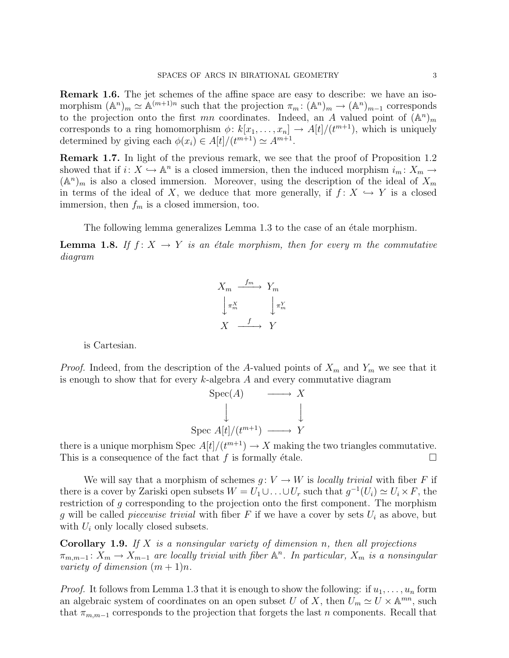Remark 1.6. The jet schemes of the affine space are easy to describe: we have an isomorphism  $({\mathbb A}^n)_m \simeq {\mathbb A}^{(m+1)n}$  such that the projection  $\pi_m: ({\mathbb A}^n)_m \to ({\mathbb A}^n)_{m-1}$  corresponds to the projection onto the first mn coordinates. Indeed, an A valued point of  $(\mathbb{A}^n)_m$ corresponds to a ring homomorphism  $\phi: k[x_1, \ldots, x_n] \to A[t]/(t^{m+1})$ , which is uniquely determined by giving each  $\phi(x_i) \in A[t]/(t^{m+1}) \simeq A^{m+1}$ .

Remark 1.7. In light of the previous remark, we see that the proof of Proposition 1.2 showed that if  $i: X \to \mathbb{A}^n$  is a closed immersion, then the induced morphism  $i_m: X_m \to$  $({\mathbb A}^n)_m$  is also a closed immersion. Moreover, using the description of the ideal of  $X_m$ in terms of the ideal of X, we deduce that more generally, if  $f: X \hookrightarrow Y$  is a closed immersion, then  $f_m$  is a closed immersion, too.

The following lemma generalizes Lemma 1.3 to the case of an étale morphism.

**Lemma 1.8.** If  $f: X \to Y$  is an étale morphism, then for every m the commutative diagram



is Cartesian.

*Proof.* Indeed, from the description of the A-valued points of  $X_m$  and  $Y_m$  we see that it is enough to show that for every  $k$ -algebra  $A$  and every commutative diagram

$$
\begin{array}{ccc}\n\text{Spec}(A) & \longrightarrow & X \\
\downarrow & & \downarrow \\
\text{Spec } A[t]/(t^{m+1}) & \longrightarrow & Y\n\end{array}
$$

there is a unique morphism Spec  $A[t]/(t^{m+1}) \to X$  making the two triangles commutative. This is a consequence of the fact that f is formally étale.

We will say that a morphism of schemes  $q: V \to W$  is *locally trivial* with fiber F if there is a cover by Zariski open subsets  $W = U_1 \cup ... \cup U_r$  such that  $g^{-1}(U_i) \simeq U_i \times F$ , the restriction of g corresponding to the projection onto the first component. The morphism g will be called *piecewise trivial* with fiber F if we have a cover by sets  $U_i$  as above, but with  $U_i$  only locally closed subsets.

**Corollary 1.9.** If X is a nonsingular variety of dimension n, then all projections  $\pi_{m,m-1}$ :  $X_m \to X_{m-1}$  are locally trivial with fiber  $\mathbb{A}^n$ . In particular,  $X_m$  is a nonsingular variety of dimension  $(m+1)n$ .

*Proof.* It follows from Lemma 1.3 that it is enough to show the following: if  $u_1, \ldots, u_n$  form an algebraic system of coordinates on an open subset U of X, then  $\tilde{U}_m \simeq U \times \mathbb{A}^{mn}$ , such that  $\pi_{m,m-1}$  corresponds to the projection that forgets the last n components. Recall that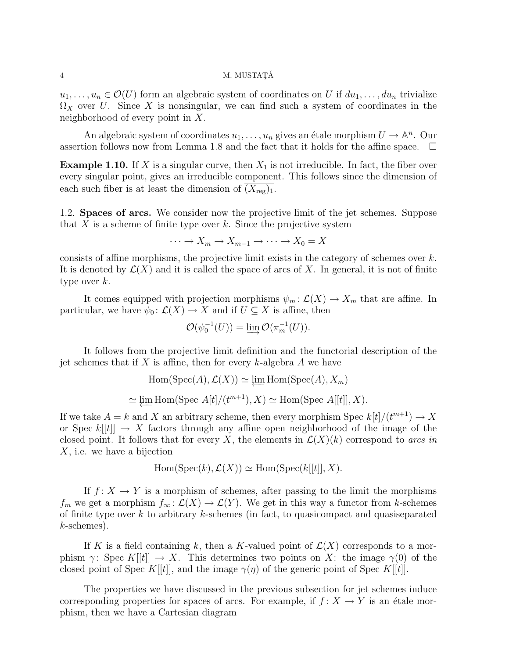## $4\,$  M. MUSTAT $\rm \AA$

 $u_1, \ldots, u_n \in \mathcal{O}(U)$  form an algebraic system of coordinates on U if  $du_1, \ldots, du_n$  trivialize  $\Omega_X$  over U. Since X is nonsingular, we can find such a system of coordinates in the neighborhood of every point in X.

An algebraic system of coordinates  $u_1, \ldots, u_n$  gives an étale morphism  $U \to \mathbb{A}^n$ . Our assertion follows now from Lemma 1.8 and the fact that it holds for the affine space.  $\Box$ 

**Example 1.10.** If X is a singular curve, then  $X_1$  is not irreducible. In fact, the fiber over every singular point, gives an irreducible component. This follows since the dimension of each such fiber is at least the dimension of  $(X_{reg})_1$ .

1.2. Spaces of arcs. We consider now the projective limit of the jet schemes. Suppose that  $X$  is a scheme of finite type over  $k$ . Since the projective system

$$
\cdots \to X_m \to X_{m-1} \to \cdots \to X_0 = X
$$

consists of affine morphisms, the projective limit exists in the category of schemes over  $k$ . It is denoted by  $\mathcal{L}(X)$  and it is called the space of arcs of X. In general, it is not of finite type over  $k$ .

It comes equipped with projection morphisms  $\psi_m : \mathcal{L}(X) \to X_m$  that are affine. In particular, we have  $\psi_0: \mathcal{L}(X) \to X$  and if  $U \subseteq X$  is affine, then

$$
\mathcal{O}(\psi_0^{-1}(U)) = \varinjlim \mathcal{O}(\pi_m^{-1}(U)).
$$

It follows from the projective limit definition and the functorial description of the jet schemes that if X is affine, then for every  $k$ -algebra A we have

$$
\text{Hom}(\text{Spec}(A), \mathcal{L}(X)) \simeq \varprojlim \text{Hom}(\text{Spec}(A), X_m)
$$
  

$$
\simeq \varprojlim \text{Hom}(\text{Spec } A[t]/(t^{m+1}), X) \simeq \text{Hom}(\text{Spec } A[[t]], X).
$$

If we take  $A = k$  and X an arbitrary scheme, then every morphism Spec  $k[t]/(t^{m+1}) \rightarrow X$ or Spec  $k[[t]] \rightarrow X$  factors through any affine open neighborhood of the image of the closed point. It follows that for every X, the elements in  $\mathcal{L}(X)(k)$  correspond to arcs in X, i.e. we have a bijection

$$
Hom(Spec(k), \mathcal{L}(X)) \simeq Hom(Spec(k[[t]], X).
$$

If  $f: X \to Y$  is a morphism of schemes, after passing to the limit the morphisms  $f_m$  we get a morphism  $f_\infty: \mathcal{L}(X) \to \mathcal{L}(Y)$ . We get in this way a functor from k-schemes of finite type over  $k$  to arbitrary  $k$ -schemes (in fact, to quasicompact and quasiseparated k-schemes).

If K is a field containing k, then a K-valued point of  $\mathcal{L}(X)$  corresponds to a morphism  $\gamma$ : Spec K[[t]]  $\rightarrow X$ . This determines two points on X: the image  $\gamma(0)$  of the closed point of Spec K[[t]], and the image  $\gamma(\eta)$  of the generic point of Spec K[[t]].

The properties we have discussed in the previous subsection for jet schemes induce corresponding properties for spaces of arcs. For example, if  $f: X \to Y$  is an étale morphism, then we have a Cartesian diagram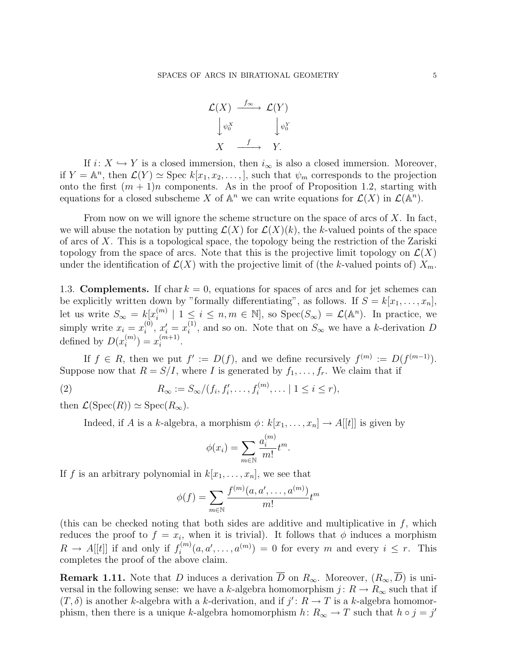

If  $i: X \hookrightarrow Y$  is a closed immersion, then  $i_{\infty}$  is also a closed immersion. Moreover, if  $Y = \mathbb{A}^n$ , then  $\mathcal{L}(Y) \simeq \text{Spec } k[x_1, x_2, \ldots, ]$ , such that  $\psi_m$  corresponds to the projection onto the first  $(m + 1)n$  components. As in the proof of Proposition 1.2, starting with equations for a closed subscheme X of  $\mathbb{A}^n$  we can write equations for  $\mathcal{L}(X)$  in  $\mathcal{L}(\mathbb{A}^n)$ .

From now on we will ignore the scheme structure on the space of arcs of  $X$ . In fact, we will abuse the notation by putting  $\mathcal{L}(X)$  for  $\mathcal{L}(X)(k)$ , the k-valued points of the space of arcs of X. This is a topological space, the topology being the restriction of the Zariski topology from the space of arcs. Note that this is the projective limit topology on  $\mathcal{L}(X)$ under the identification of  $\mathcal{L}(X)$  with the projective limit of (the k-valued points of)  $X_m$ .

1.3. **Complements.** If char  $k = 0$ , equations for spaces of arcs and for jet schemes can be explicitly written down by "formally differentiating", as follows. If  $S = k[x_1, \ldots, x_n]$ , let us write  $S_{\infty} = k[x_i^{(m)}]$  $\mathcal{L}_{i}^{(m)} \mid 1 \leq i \leq n, m \in \mathbb{N}$ , so  $\text{Spec}(S_{\infty}) = \mathcal{L}(\mathbb{A}^{n})$ . In practice, we simply write  $x_i = x_i^{(0)}$  $x_i^{(0)}, x_i' = x_i^{(1)}$  $i_j^{(1)}$ , and so on. Note that on  $S_{\infty}$  we have a k-derivation D defined by  $D(x_i^{(m)})$  $\binom{m}{i} = x_i^{(m+1)}$  $\binom{m+1}{i}$ .

If  $f \in R$ , then we put  $f' := D(f)$ , and we define recursively  $f^{(m)} := D(f^{(m-1)})$ . Suppose now that  $R = S/I$ , where I is generated by  $f_1, \ldots, f_r$ . We claim that if

(2)  $R_{\infty} := S_{\infty}/(f_i, f'_i, \dots, f_i^{(m)}, \dots | 1 \le i \le r),$ 

then  $\mathcal{L}(\text{Spec}(R)) \simeq \text{Spec}(R_{\infty}).$ 

Indeed, if A is a k-algebra, a morphism  $\phi: k[x_1, \ldots, x_n] \to A[[t]]$  is given by

$$
\phi(x_i) = \sum_{m \in \mathbb{N}} \frac{a_i^{(m)}}{m!} t^m.
$$

If f is an arbitrary polynomial in  $k[x_1, \ldots, x_n]$ , we see that

$$
\phi(f) = \sum_{m \in \mathbb{N}} \frac{f^{(m)}(a, a', \dots, a^{(m)})}{m!} t^m
$$

(this can be checked noting that both sides are additive and multiplicative in f, which reduces the proof to  $f = x_i$ , when it is trivial). It follows that  $\phi$  induces a morphism  $R \to A[[t]]$  if and only if  $f_i^{(m)}$  $a_i^{(m)}(a, a', \ldots, a^{(m)}) = 0$  for every m and every  $i \leq r$ . This completes the proof of the above claim.

**Remark 1.11.** Note that D induces a derivation  $\overline{D}$  on  $R_{\infty}$ . Moreover,  $(R_{\infty}, \overline{D})$  is universal in the following sense: we have a k-algebra homomorphism  $j: R \to R_{\infty}$  such that if  $(T, \delta)$  is another k-algebra with a k-derivation, and if  $j' : R \to T$  is a k-algebra homomorphism, then there is a unique k-algebra homomorphism  $h: R_{\infty} \to T$  such that  $h \circ j = j'$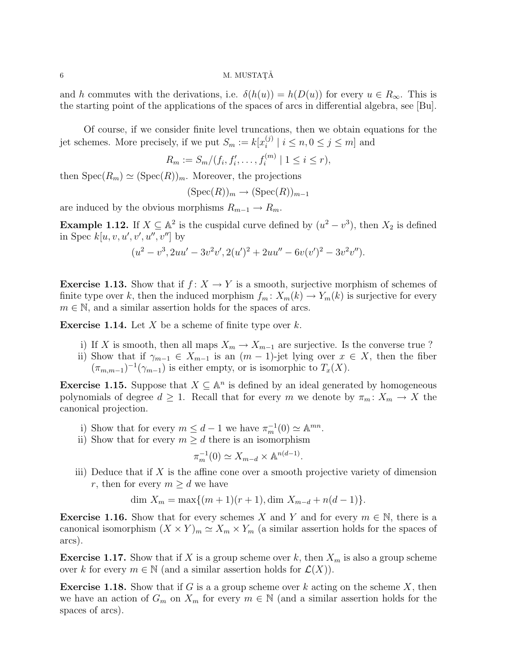## $\sim$  M. MUSTATĂ

and h commutes with the derivations, i.e.  $\delta(h(u)) = h(D(u))$  for every  $u \in R_{\infty}$ . This is the starting point of the applications of the spaces of arcs in differential algebra, see [Bu].

Of course, if we consider finite level truncations, then we obtain equations for the jet schemes. More precisely, if we put  $S_m := k[x_i^{(j)}]$  $\binom{[j]}{i}$  |  $i \leq n, 0 \leq j \leq m$ ] and

$$
R_m := S_m / (f_i, f'_i, \dots, f_i^{(m)} \mid 1 \le i \le r),
$$

then  $Spec(R_m) \simeq (Spec(R))_m$ . Moreover, the projections

$$
(\operatorname{Spec}(R))_m \to (\operatorname{Spec}(R))_{m-1}
$$

are induced by the obvious morphisms  $R_{m-1} \to R_m$ .

**Example 1.12.** If  $X \subseteq \mathbb{A}^2$  is the cuspidal curve defined by  $(u^2 - v^3)$ , then  $X_2$  is defined in Spec  $k[u, v, u', v', u'', v'']$  by

$$
(u2 - v3, 2uu' - 3v2v', 2(u')2 + 2uu'' - 6v(v')2 - 3v2v'').
$$

**Exercise 1.13.** Show that if  $f: X \to Y$  is a smooth, surjective morphism of schemes of finite type over k, then the induced morphism  $f_m: X_m(k) \to Y_m(k)$  is surjective for every  $m \in \mathbb{N}$ , and a similar assertion holds for the spaces of arcs.

**Exercise 1.14.** Let X be a scheme of finite type over k.

- i) If X is smooth, then all maps  $X_m \to X_{m-1}$  are surjective. Is the converse true ?
- ii) Show that if  $\gamma_{m-1} \in X_{m-1}$  is an  $(m-1)$ -jet lying over  $x \in X$ , then the fiber  $(\pi_{m,m-1})^{-1}(\gamma_{m-1})$  is either empty, or is isomorphic to  $T_x(X)$ .

**Exercise 1.15.** Suppose that  $X \subseteq \mathbb{A}^n$  is defined by an ideal generated by homogeneous polynomials of degree  $d \geq 1$ . Recall that for every m we denote by  $\pi_m: X_m \to X$  the canonical projection.

- i) Show that for every  $m \leq d-1$  we have  $\pi_m^{-1}(0) \simeq \mathbb{A}^{mn}$ .
- ii) Show that for every  $m \geq d$  there is an isomorphism

$$
\pi_m^{-1}(0) \simeq X_{m-d} \times \mathbb{A}^{n(d-1)}.
$$

iii) Deduce that if  $X$  is the affine cone over a smooth projective variety of dimension r, then for every  $m \geq d$  we have

$$
\dim X_m = \max\{(m+1)(r+1), \dim X_{m-d} + n(d-1)\}.
$$

**Exercise 1.16.** Show that for every schemes X and Y and for every  $m \in \mathbb{N}$ , there is a canonical isomorphism  $(X \times Y)_m \simeq X_m \times Y_m$  (a similar assertion holds for the spaces of arcs).

**Exercise 1.17.** Show that if X is a group scheme over k, then  $X_m$  is also a group scheme over k for every  $m \in \mathbb{N}$  (and a similar assertion holds for  $\mathcal{L}(X)$ ).

**Exercise 1.18.** Show that if G is a a group scheme over k acting on the scheme X, then we have an action of  $G_m$  on  $X_m$  for every  $m \in \mathbb{N}$  (and a similar assertion holds for the spaces of arcs).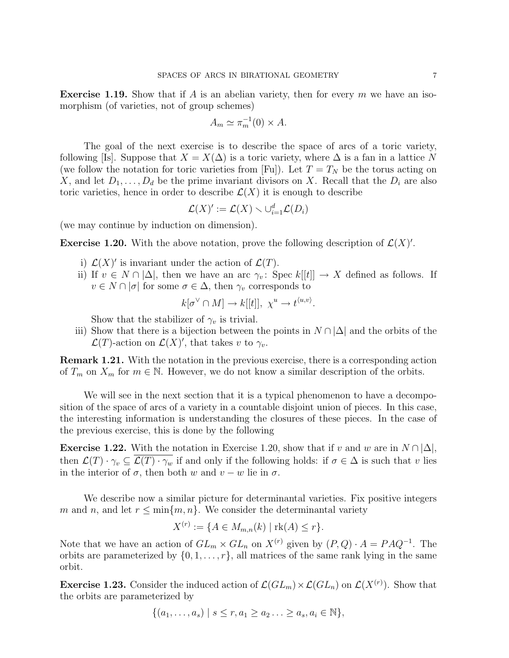**Exercise 1.19.** Show that if A is an abelian variety, then for every  $m$  we have an isomorphism (of varieties, not of group schemes)

$$
A_m \simeq \pi_m^{-1}(0) \times A.
$$

The goal of the next exercise is to describe the space of arcs of a toric variety, following [Is]. Suppose that  $X = X(\Delta)$  is a toric variety, where  $\Delta$  is a fan in a lattice N (we follow the notation for toric varieties from [Fu]). Let  $T = T_N$  be the torus acting on X, and let  $D_1, \ldots, D_d$  be the prime invariant divisors on X. Recall that the  $D_i$  are also toric varieties, hence in order to describe  $\mathcal{L}(X)$  it is enough to describe

$$
\mathcal{L}(X)' := \mathcal{L}(X) \smallsetminus \cup_{i=1}^d \mathcal{L}(D_i)
$$

(we may continue by induction on dimension).

**Exercise 1.20.** With the above notation, prove the following description of  $\mathcal{L}(X)$ '.

- i)  $\mathcal{L}(X)'$  is invariant under the action of  $\mathcal{L}(T)$ .
- ii) If  $v \in N \cap |\Delta|$ , then we have an arc  $\gamma_v$ : Spec  $k[[t]] \to X$  defined as follows. If  $v \in N \cap |\sigma|$  for some  $\sigma \in \Delta$ , then  $\gamma_v$  corresponds to

$$
k[\sigma^{\vee} \cap M] \to k[[t]], \ \chi^u \to t^{\langle u, v \rangle}.
$$

Show that the stabilizer of  $\gamma_v$  is trivial.

iii) Show that there is a bijection between the points in  $N \cap |\Delta|$  and the orbits of the  $\mathcal{L}(T)$ -action on  $\mathcal{L}(X)'$ , that takes v to  $\gamma_v$ .

Remark 1.21. With the notation in the previous exercise, there is a corresponding action of  $T_m$  on  $X_m$  for  $m \in \mathbb{N}$ . However, we do not know a similar description of the orbits.

We will see in the next section that it is a typical phenomenon to have a decomposition of the space of arcs of a variety in a countable disjoint union of pieces. In this case, the interesting information is understanding the closures of these pieces. In the case of the previous exercise, this is done by the following

**Exercise 1.22.** With the notation in Exercise 1.20, show that if v and w are in  $N \cap |\Delta|$ , then  $\mathcal{L}(T) \cdot \gamma_v \subseteq \mathcal{L}(T) \cdot \gamma_w$  if and only if the following holds: if  $\sigma \in \Delta$  is such that v lies in the interior of  $\sigma$ , then both w and  $v - w$  lie in  $\sigma$ .

We describe now a similar picture for determinantal varieties. Fix positive integers m and n, and let  $r \leq \min\{m, n\}$ . We consider the determinantal variety

$$
X^{(r)} := \{ A \in M_{m,n}(k) \mid \text{rk}(A) \le r \}.
$$

Note that we have an action of  $GL_m \times GL_n$  on  $X^{(r)}$  given by  $(P,Q) \cdot A = PAQ^{-1}$ . The orbits are parameterized by  $\{0, 1, \ldots, r\}$ , all matrices of the same rank lying in the same orbit.

**Exercise 1.23.** Consider the induced action of  $\mathcal{L}(GL_m) \times \mathcal{L}(GL_n)$  on  $\mathcal{L}(X^{(r)})$ . Show that the orbits are parameterized by

$$
\{(a_1,\ldots,a_s) \mid s \leq r, a_1 \geq a_2 \ldots \geq a_s, a_i \in \mathbb{N}\},\
$$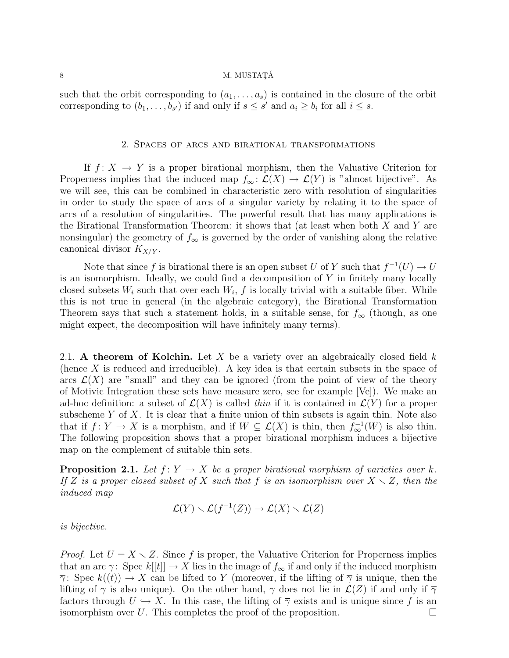## 8 M. MUSTAT $\check{A}$

such that the orbit corresponding to  $(a_1, \ldots, a_s)$  is contained in the closure of the orbit corresponding to  $(b_1, \ldots, b_{s'})$  if and only if  $s \leq s'$  and  $a_i \geq b_i$  for all  $i \leq s$ .

#### 2. Spaces of arcs and birational transformations

If  $f: X \to Y$  is a proper birational morphism, then the Valuative Criterion for Properness implies that the induced map  $f_{\infty} : \mathcal{L}(X) \to \mathcal{L}(Y)$  is "almost bijective". As we will see, this can be combined in characteristic zero with resolution of singularities in order to study the space of arcs of a singular variety by relating it to the space of arcs of a resolution of singularities. The powerful result that has many applications is the Birational Transformation Theorem: it shows that (at least when both  $X$  and  $Y$  are nonsingular) the geometry of  $f_{\infty}$  is governed by the order of vanishing along the relative canonical divisor  $K_{X/Y}$ .

Note that since f is birational there is an open subset U of Y such that  $f^{-1}(U) \to U$ is an isomorphism. Ideally, we could find a decomposition of  $Y$  in finitely many locally closed subsets  $W_i$  such that over each  $W_i$ , f is locally trivial with a suitable fiber. While this is not true in general (in the algebraic category), the Birational Transformation Theorem says that such a statement holds, in a suitable sense, for  $f_{\infty}$  (though, as one might expect, the decomposition will have infinitely many terms).

2.1. A theorem of Kolchin. Let X be a variety over an algebraically closed field  $k$ (hence  $X$  is reduced and irreducible). A key idea is that certain subsets in the space of arcs  $\mathcal{L}(X)$  are "small" and they can be ignored (from the point of view of the theory of Motivic Integration these sets have measure zero, see for example [Ve]). We make an ad-hoc definition: a subset of  $\mathcal{L}(X)$  is called thin if it is contained in  $\mathcal{L}(Y)$  for a proper subscheme  $Y$  of  $X$ . It is clear that a finite union of thin subsets is again thin. Note also that if  $f: Y \to X$  is a morphism, and if  $W \subseteq \mathcal{L}(X)$  is thin, then  $f^{-1}_{\infty}(W)$  is also thin. The following proposition shows that a proper birational morphism induces a bijective map on the complement of suitable thin sets.

**Proposition 2.1.** Let  $f: Y \to X$  be a proper birational morphism of varieties over k. If Z is a proper closed subset of X such that f is an isomorphism over  $X \setminus Z$ , then the induced map

$$
\mathcal{L}(Y) \setminus \mathcal{L}(f^{-1}(Z)) \to \mathcal{L}(X) \setminus \mathcal{L}(Z)
$$

is bijective.

*Proof.* Let  $U = X \setminus Z$ . Since f is proper, the Valuative Criterion for Properness implies that an arc γ: Spec  $k[[t]] \to X$  lies in the image of  $f_{\infty}$  if and only if the induced morphism  $\overline{\gamma}$ : Spec  $k((t)) \to X$  can be lifted to Y (moreover, if the lifting of  $\overline{\gamma}$  is unique, then the lifting of  $\gamma$  is also unique). On the other hand,  $\gamma$  does not lie in  $\mathcal{L}(Z)$  if and only if  $\overline{\gamma}$ factors through  $U \hookrightarrow X$ . In this case, the lifting of  $\overline{\gamma}$  exists and is unique since f is an isomorphism over U. This completes the proof of the proposition.  $\Box$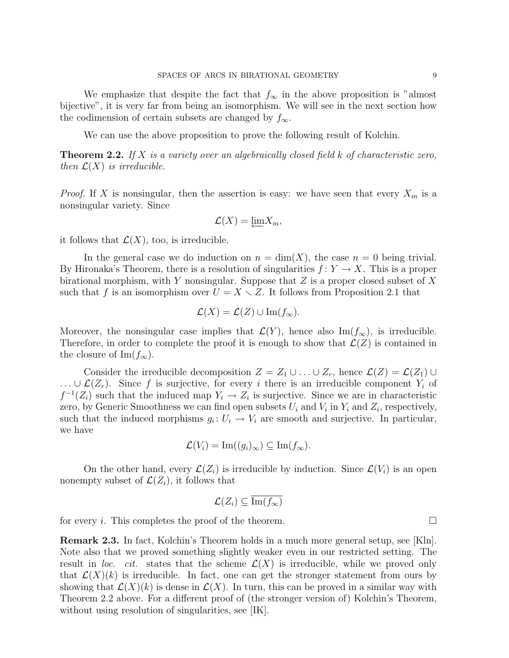We emphasize that despite the fact that  $f_{\infty}$  in the above proposition is "almost" bijective", it is very far from being an isomorphism. We will see in the next section how the codimension of certain subsets are changed by  $f_{\infty}$ .

We can use the above proposition to prove the following result of Kolchin.

**Theorem 2.2.** If X is a variety over an algebraically closed field  $k$  of characteristic zero, then  $\mathcal{L}(X)$  is irreducible.

*Proof.* If X is nonsingular, then the assertion is easy: we have seen that every  $X_m$  is a nonsingular variety. Since

$$
\mathcal{L}(X) = \underleftarrow{\lim} X_m,
$$

it follows that  $\mathcal{L}(X)$ , too, is irreducible.

In the general case we do induction on  $n = \dim(X)$ , the case  $n = 0$  being trivial. By Hironaka's Theorem, there is a resolution of singularities  $f: Y \to X$ . This is a proper birational morphism, with Y nonsingular. Suppose that  $Z$  is a proper closed subset of  $X$ such that f is an isomorphism over  $U = X \setminus Z$ . It follows from Proposition 2.1 that

$$
\mathcal{L}(X) = \mathcal{L}(Z) \cup \operatorname{Im}(f_{\infty}).
$$

Moreover, the nonsingular case implies that  $\mathcal{L}(Y)$ , hence also Im( $f_{\infty}$ ), is irreducible. Therefore, in order to complete the proof it is enough to show that  $\mathcal{L}(Z)$  is contained in the closure of Im $(f_{\infty})$ .

Consider the irreducible decomposition  $Z = Z_1 \cup ... \cup Z_r$ , hence  $\mathcal{L}(Z) = \mathcal{L}(Z_1) \cup ...$ ... ∪  $\mathcal{L}(Z_r)$ . Since f is surjective, for every i there is an irreducible component  $Y_i$  of  $f^{-1}(Z_i)$  such that the induced map  $Y_i \to Z_i$  is surjective. Since we are in characteristic zero, by Generic Smoothness we can find open subsets  $U_i$  and  $V_i$  in  $Y_i$  and  $Z_i$ , respectively, such that the induced morphisms  $g_i: U_i \to V_i$  are smooth and surjective. In particular, we have

$$
\mathcal{L}(V_i) = \text{Im}((g_i)_{\infty}) \subseteq \text{Im}(f_{\infty}).
$$

On the other hand, every  $\mathcal{L}(Z_i)$  is irreducible by induction. Since  $\mathcal{L}(V_i)$  is an open nonempty subset of  $\mathcal{L}(Z_i)$ , it follows that

$$
\mathcal{L}(Z_i) \subseteq \overline{\mathrm{Im}(f_\infty)}
$$

for every *i*. This completes the proof of the theorem.

Remark 2.3. In fact, Kolchin's Theorem holds in a much more general setup, see [Kln]. Note also that we proved something slightly weaker even in our restricted setting. The result in loc. cit. states that the scheme  $\mathcal{L}(X)$  is irreducible, while we proved only that  $\mathcal{L}(X)(k)$  is irreducible. In fact, one can get the stronger statement from ours by showing that  $\mathcal{L}(X)(k)$  is dense in  $\mathcal{L}(X)$ . In turn, this can be proved in a similar way with Theorem 2.2 above. For a different proof of (the stronger version of) Kolchin's Theorem, without using resolution of singularities, see [IK].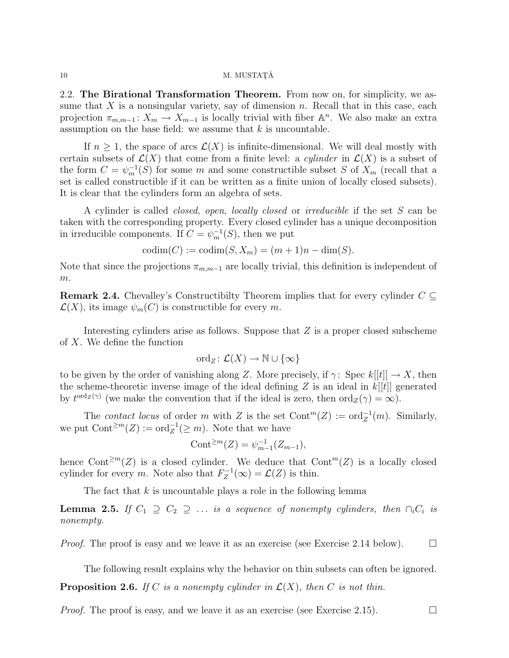#### $10 \text{ M. MUSTATÅ}$

2.2. The Birational Transformation Theorem. From now on, for simplicity, we assume that X is a nonsingular variety, say of dimension n. Recall that in this case, each projection  $\pi_{m,m-1}: X_m \to X_{m-1}$  is locally trivial with fiber  $\mathbb{A}^n$ . We also make an extra assumption on the base field: we assume that  $k$  is uncountable.

If  $n \geq 1$ , the space of arcs  $\mathcal{L}(X)$  is infinite-dimensional. We will deal mostly with certain subsets of  $\mathcal{L}(X)$  that come from a finite level: a *cylinder* in  $\mathcal{L}(X)$  is a subset of the form  $C = \psi_m^{-1}(S)$  for some m and some constructible subset S of  $X_m$  (recall that a set is called constructible if it can be written as a finite union of locally closed subsets). It is clear that the cylinders form an algebra of sets.

A cylinder is called closed, open, locally closed or irreducible if the set S can be taken with the corresponding property. Every closed cylinder has a unique decomposition in irreducible components. If  $C = \psi_m^{-1}(S)$ , then we put

$$
codim(C) := codim(S, X_m) = (m+1)n - dim(S).
$$

Note that since the projections  $\pi_{m,m-1}$  are locally trivial, this definition is independent of  $m$ .

**Remark 2.4.** Chevalley's Constructibilty Theorem implies that for every cylinder  $C \subseteq$  $\mathcal{L}(X)$ , its image  $\psi_m(C)$  is constructible for every m.

Interesting cylinders arise as follows. Suppose that  $Z$  is a proper closed subscheme of X. We define the function

$$
\mathrm{ord}_Z\colon \mathcal{L}(X)\to \mathbb{N}\cup\{\infty\}
$$

to be given by the order of vanishing along Z. More precisely, if  $\gamma$ : Spec  $k[[t]] \to X$ , then the scheme-theoretic inverse image of the ideal defining  $Z$  is an ideal in  $k[[t]]$  generated by  $t^{\text{ord}_{Z}(\gamma)}$  (we make the convention that if the ideal is zero, then  $\text{ord}_{Z}(\gamma) = \infty$ ).

The contact locus of order m with Z is the set  $\text{Cont}^m(Z) := \text{ord}_Z^{-1}(m)$ . Similarly, we put  $\text{Cont}^{\geq m}(Z) := \text{ord}_Z^{-1}(\geq m)$ . Note that we have

$$
Cont^{\geq m}(Z) = \psi_{m-1}^{-1}(Z_{m-1}),
$$

hence Cont<sup>≥m</sup>(Z) is a closed cylinder. We deduce that Cont<sup>m</sup>(Z) is a locally closed cylinder for every m. Note also that  $F_Z^{-1}$  $\mathcal{L}_Z^{-1}(\infty) = \mathcal{L}(Z)$  is thin.

The fact that  $k$  is uncountable plays a role in the following lemma

**Lemma 2.5.** If  $C_1 \supseteq C_2 \supseteqeq \ldots$  is a sequence of nonempty cylinders, then  $\bigcap_i C_i$  is nonempty.

*Proof.* The proof is easy and we leave it as an exercise (see Exercise 2.14 below).  $\square$ 

The following result explains why the behavior on thin subsets can often be ignored.

**Proposition 2.6.** If C is a nonempty cylinder in  $\mathcal{L}(X)$ , then C is not thin.

*Proof.* The proof is easy, and we leave it as an exercise (see Exercise 2.15).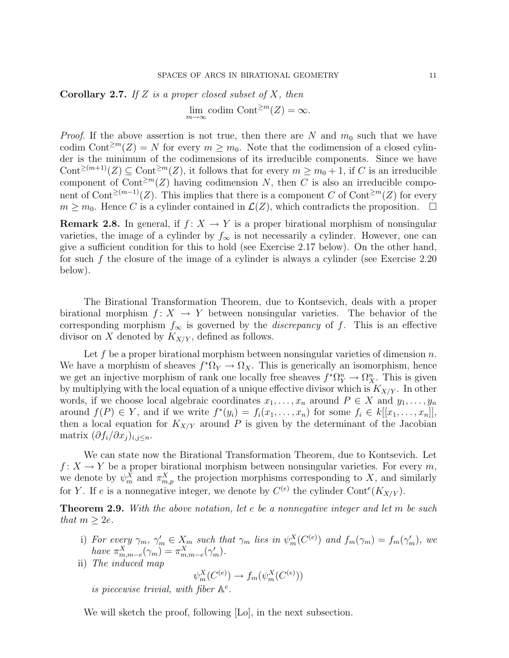**Corollary 2.7.** If Z is a proper closed subset of X, then  $\lim_{m\to\infty}$  codim Cont<sup>≥m</sup>(Z) = ∞.

*Proof.* If the above assertion is not true, then there are N and  $m_0$  such that we have codim Cont<sup>≥m</sup>(Z) = N for every  $m \geq m_0$ . Note that the codimension of a closed cylinder is the minimum of the codimensions of its irreducible components. Since we have Cont<sup>≥(m+1</sup>)(Z)  $\subseteq$  Cont<sup>2m</sup>(Z), it follows that for every  $m \ge m_0 + 1$ , if C is an irreducible component of Cont<sup>≥m</sup>(Z) having codimension N, then C is also an irreducible component of Cont<sup>≥(m-1)</sup>(Z). This implies that there is a component C of Cont<sup>≥m</sup>(Z) for every  $m \geq m_0$ . Hence C is a cylinder contained in  $\mathcal{L}(Z)$ , which contradicts the proposition.  $\Box$ 

**Remark 2.8.** In general, if  $f: X \to Y$  is a proper birational morphism of nonsingular varieties, the image of a cylinder by  $f_{\infty}$  is not necessarily a cylinder. However, one can give a sufficient condition for this to hold (see Exercise 2.17 below). On the other hand, for such f the closure of the image of a cylinder is always a cylinder (see Exercise 2.20 below).

The Birational Transformation Theorem, due to Kontsevich, deals with a proper birational morphism  $f: X \to Y$  between nonsingular varieties. The behavior of the corresponding morphism  $f_{\infty}$  is governed by the *discrepancy* of f. This is an effective divisor on X denoted by  $K_{X/Y}$ , defined as follows.

Let f be a proper birational morphism between nonsingular varieties of dimension  $n$ . We have a morphism of sheaves  $f^* \Omega_Y \to \Omega_X$ . This is generically an isomorphism, hence we get an injective morphism of rank one locally free sheaves  $f^* \Omega_Y^n \to \Omega_X^n$ . This is given by multiplying with the local equation of a unique effective divisor which is  $K_{X/Y}$ . In other words, if we choose local algebraic coordinates  $x_1, \ldots, x_n$  around  $P \in X$  and  $y_1, \ldots, y_n$ around  $f(P) \in Y$ , and if we write  $f^*(y_i) = f_i(x_1, \ldots, x_n)$  for some  $f_i \in k[[x_1, \ldots, x_n]],$ then a local equation for  $K_{X/Y}$  around P is given by the determinant of the Jacobian matrix  $(\partial f_i/\partial x_j)_{i,j\leq n}$ .

We can state now the Birational Transformation Theorem, due to Kontsevich. Let  $f: X \to Y$  be a proper birational morphism between nonsingular varieties. For every m, we denote by  $\psi_m^X$  and  $\pi_{m,p}^X$  the projection morphisms corresponding to X, and similarly for Y. If e is a nonnegative integer, we denote by  $C^{(e)}$  the cylinder Cont<sup>e</sup>( $K_{X/Y}$ ).

**Theorem 2.9.** With the above notation, let e be a nonnegative integer and let m be such that  $m \geq 2e$ .

- i) For every  $\gamma_m$ ,  $\gamma'_m \in X_m$  such that  $\gamma_m$  lies in  $\psi_m^X(C^{(e)})$  and  $f_m(\gamma_m) = f_m(\gamma'_m)$ , we have  $\pi_{m,m-e}^X(\gamma_m) = \pi_{m,m-e}^X(\gamma_m').$
- ii) The induced map

$$
\psi_m^X(C^{(e)}) \to f_m(\psi_m^X(C^{(e)}))
$$

is piecewise trivial, with fiber  $A^e$ .

We will sketch the proof, following [Lo], in the next subsection.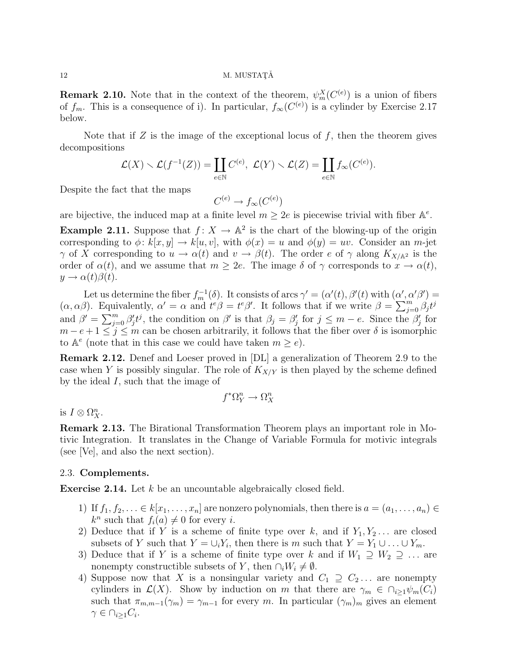# 12 M. MUSTAT $\check{A}$

**Remark 2.10.** Note that in the context of the theorem,  $\psi_m^X(C^{(e)})$  is a union of fibers of  $f_m$ . This is a consequence of i). In particular,  $f_{\infty}(C^{(e)})$  is a cylinder by Exercise 2.17 below.

Note that if  $Z$  is the image of the exceptional locus of  $f$ , then the theorem gives decompositions

$$
\mathcal{L}(X) \setminus \mathcal{L}(f^{-1}(Z)) = \coprod_{e \in \mathbb{N}} C^{(e)}, \ \mathcal{L}(Y) \setminus \mathcal{L}(Z) = \coprod_{e \in \mathbb{N}} f_{\infty}(C^{(e)}).
$$

Despite the fact that the maps

$$
C^{(e)} \to f_{\infty}(C^{(e)})
$$

are bijective, the induced map at a finite level  $m \geq 2e$  is piecewise trivial with fiber  $\mathbb{A}^e$ .

**Example 2.11.** Suppose that  $f: X \to \mathbb{A}^2$  is the chart of the blowing-up of the origin corresponding to  $\phi: k[x, y] \to k[u, v]$ , with  $\phi(x) = u$  and  $\phi(y) = uv$ . Consider an m-jet  $\gamma$  of X corresponding to  $u \to \alpha(t)$  and  $v \to \beta(t)$ . The order e of  $\gamma$  along  $K_{X/\mathbb{A}^2}$  is the order of  $\alpha(t)$ , and we assume that  $m \geq 2e$ . The image  $\delta$  of  $\gamma$  corresponds to  $x \to \alpha(t)$ ,  $y \rightarrow \alpha(t)\beta(t)$ .

Let us determine the fiber  $f_m^{-1}(\delta)$ . It consists of arcs  $\gamma' = (\alpha'(t), \beta'(t))$  with  $(\alpha', \alpha'\beta') =$  $(\alpha, \alpha\beta)$ . Equivalently,  $\alpha' = \alpha$  and  $t^e\beta = t^e\beta'$ . It follows that if we write  $\beta = \sum_{j=0}^m \beta_j t^j$ and  $\beta' = \sum_{j=0}^m \beta'_j t^j$ , the condition on  $\beta'$  is that  $\beta_j = \beta'_j$  for  $j \leq m - e$ . Since the  $\beta'_j$  for  $m - e + 1 \leq j \leq m$  can be chosen arbitrarily, it follows that the fiber over  $\delta$  is isomorphic to  $A^e$  (note that in this case we could have taken  $m \geq e$ ).

Remark 2.12. Denef and Loeser proved in [DL] a generalization of Theorem 2.9 to the case when Y is possibly singular. The role of  $K_{X/Y}$  is then played by the scheme defined by the ideal I, such that the image of

$$
f^*\Omega^n_Y\to\Omega^n_X
$$

is  $I \otimes \Omega_X^n$ .

Remark 2.13. The Birational Transformation Theorem plays an important role in Motivic Integration. It translates in the Change of Variable Formula for motivic integrals (see [Ve], and also the next section).

## 2.3. Complements.

Exercise 2.14. Let k be an uncountable algebraically closed field.

- 1) If  $f_1, f_2, \ldots \in k[x_1, \ldots, x_n]$  are nonzero polynomials, then there is  $a = (a_1, \ldots, a_n) \in$  $k^n$  such that  $f_i(a) \neq 0$  for every *i*.
- 2) Deduce that if Y is a scheme of finite type over k, and if  $Y_1, Y_2, \ldots$  are closed subsets of Y such that  $Y = \bigcup_i Y_i$ , then there is m such that  $Y = Y_1 \cup \ldots \cup Y_m$ .
- 3) Deduce that if Y is a scheme of finite type over k and if  $W_1 \supseteq W_2 \supseteq \ldots$  are nonempty constructible subsets of Y, then  $\cap_i W_i \neq \emptyset$ .
- 4) Suppose now that X is a nonsingular variety and  $C_1 \supseteq C_2 \ldots$  are nonempty cylinders in  $\mathcal{L}(X)$ . Show by induction on m that there are  $\gamma_m \in \bigcap_{i\geq 1} \psi_m(C_i)$ such that  $\pi_{m,m-1}(\gamma_m) = \gamma_{m-1}$  for every m. In particular  $(\gamma_m)_m$  gives an element  $\gamma \in \cap_{i \geq 1} C_i$ .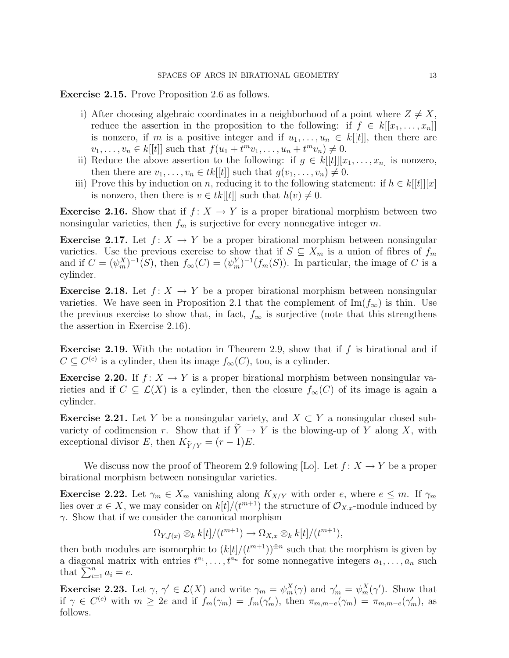Exercise 2.15. Prove Proposition 2.6 as follows.

- i) After choosing algebraic coordinates in a neighborhood of a point where  $Z \neq X$ , reduce the assertion in the proposition to the following: if  $f \in k[[x_1, \ldots, x_n]]$ is nonzero, if m is a positive integer and if  $u_1, \ldots, u_n \in k[[t]]$ , then there are  $v_1, \ldots, v_n \in k[[t]]$  such that  $f(u_1 + t^m v_1, \ldots, u_n + t^m v_n) \neq 0$ .
- ii) Reduce the above assertion to the following: if  $g \in k[[t]][x_1, \ldots, x_n]$  is nonzero, then there are  $v_1, \ldots, v_n \in tk[[t]]$  such that  $g(v_1, \ldots, v_n) \neq 0$ .
- iii) Prove this by induction on n, reducing it to the following statement: if  $h \in k[[t]][x]$ is nonzero, then there is  $v \in tk[[t]]$  such that  $h(v) \neq 0$ .

**Exercise 2.16.** Show that if  $f: X \to Y$  is a proper birational morphism between two nonsingular varieties, then  $f_m$  is surjective for every nonnegative integer m.

**Exercise 2.17.** Let  $f: X \to Y$  be a proper birational morphism between nonsingular varieties. Use the previous exercise to show that if  $S \subseteq X_m$  is a union of fibres of  $f_m$ and if  $C = (\psi_m^X)^{-1}(S)$ , then  $f_{\infty}(C) = (\psi_m^Y)^{-1}(f_m(S))$ . In particular, the image of C is a cylinder.

**Exercise 2.18.** Let  $f: X \to Y$  be a proper birational morphism between nonsingular varieties. We have seen in Proposition 2.1 that the complement of  $\text{Im}(f_{\infty})$  is thin. Use the previous exercise to show that, in fact,  $f_{\infty}$  is surjective (note that this strengthens the assertion in Exercise 2.16).

**Exercise 2.19.** With the notation in Theorem 2.9, show that if  $f$  is birational and if  $C \subseteq C^{(e)}$  is a cylinder, then its image  $f_{\infty}(C)$ , too, is a cylinder.

**Exercise 2.20.** If  $f: X \to Y$  is a proper birational morphism between nonsingular varieties and if  $C \subseteq \mathcal{L}(X)$  is a cylinder, then the closure  $\overline{f_{\infty}(C)}$  of its image is again a cylinder.

**Exercise 2.21.** Let Y be a nonsingular variety, and  $X \subset Y$  a nonsingular closed subvariety of codimension r. Show that if  $Y \to Y$  is the blowing-up of Y along X, with **Exercise 2.21.** Let Y be a nonsingular variative variety of codimension r. Show that if  $\widetilde{Y} \rightarrow$  exceptional divisor E, then  $K_{\widetilde{Y}/Y} = (r - 1)E$ .

We discuss now the proof of Theorem 2.9 following [Lo]. Let  $f: X \to Y$  be a proper birational morphism between nonsingular varieties.

**Exercise 2.22.** Let  $\gamma_m \in X_m$  vanishing along  $K_{X/Y}$  with order e, where  $e \leq m$ . If  $\gamma_m$ lies over  $x \in X$ , we may consider on  $k[t]/(t^{m+1})$  the structure of  $\mathcal{O}_{X,x}$ -module induced by  $\gamma$ . Show that if we consider the canonical morphism

$$
\Omega_{Y,f(x)} \otimes_k k[t]/(t^{m+1}) \to \Omega_{X,x} \otimes_k k[t]/(t^{m+1}),
$$

then both modules are isomorphic to  $(k[t]/(t^{m+1}))^{\oplus n}$  such that the morphism is given by a diagonal matrix with entries  $t^{a_1}, \ldots, t^{a_n}$  for some nonnegative integers  $a_1, \ldots, a_n$  such that  $\sum_{i=1}^n a_i = e$ .

**Exercise 2.23.** Let  $\gamma$ ,  $\gamma' \in \mathcal{L}(X)$  and write  $\gamma_m = \psi_m^X(\gamma)$  and  $\gamma'_m = \psi_m^X(\gamma')$ . Show that if  $\gamma \in C^{(e)}$  with  $m \geq 2e$  and if  $f_m(\gamma_m) = f_m(\gamma'_m)$ , then  $\pi_{m,m-e}(\gamma_m) = \pi_{m,m-e}(\gamma'_m)$ , as follows.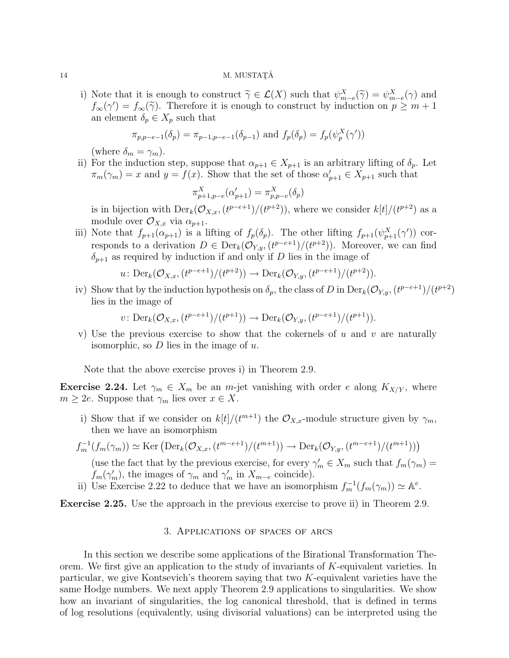### $14$  M. MUSTATĂ

i) Note that it is enough to construct  $\widetilde{\gamma} \in \mathcal{L}(X)$  such that  $\psi_{m-e}^X(\widetilde{\gamma}) = \psi_{m-e}^X(\gamma)$  and  $f(\gamma') = f(\widetilde{\gamma})$ . Therefore it is enough to construct by induction on  $n > m + 1$ .  $f_{\infty}(\gamma') = f_{\infty}(\widetilde{\gamma})$ . Therefore it is enough to construct by induction on  $p \geq m+1$ <br>an element  $\delta \in X$  such that an element  $\delta_p \in X_p$  such that

$$
\pi_{p,p-e-1}(\delta_p) = \pi_{p-1,p-e-1}(\delta_{p-1})
$$
 and  $f_p(\delta_p) = f_p(\psi_p^X(\gamma'))$ 

(where  $\delta_m = \gamma_m$ ).

ii) For the induction step, suppose that  $\alpha_{p+1} \in X_{p+1}$  is an arbitrary lifting of  $\delta_p$ . Let  $\pi_m(\gamma_m) = x$  and  $y = f(x)$ . Show that the set of those  $\alpha'_{p+1} \in X_{p+1}$  such that

$$
\pi^X_{p+1,p-e}(\alpha'_{p+1})=\pi^X_{p,p-e}(\delta_p)
$$

is in bijection with  $\text{Der}_k(\mathcal{O}_{X,x}, (t^{p-e+1})/(t^{p+2}))$ , where we consider  $k[t]/(t^{p+2})$  as a module over  $\mathcal{O}_{X,x}$  via  $\alpha_{p+1}$ .

iii) Note that  $f_{p+1}(\alpha_{p+1})$  is a lifting of  $f_p(\delta_p)$ . The other lifting  $f_{p+1}(\psi_{p+1}^X(\gamma'))$  corresponds to a derivation  $D \in \text{Der}_k(\mathcal{O}_{Y,y}, (t^{p-e+1})/(t^{p+2}))$ . Moreover, we can find  $\delta_{p+1}$  as required by induction if and only if D lies in the image of

$$
u: \mathrm{Der}_k(\mathcal{O}_{X,x}, (t^{p-e+1})/(t^{p+2})) \to \mathrm{Der}_k(\mathcal{O}_{Y,y}, (t^{p-e+1})/(t^{p+2})).
$$

iv) Show that by the induction hypothesis on  $\delta_p$ , the class of D in Der<sub>k</sub>( $\mathcal{O}_{Y,y}$ ,  $(t^{p-e+1})/(t^{p+2})$ lies in the image of

$$
v: \mathrm{Der}_k(\mathcal{O}_{X,x}, (t^{p-e+1})/(t^{p+1})) \to \mathrm{Der}_k(\mathcal{O}_{Y,y}, (t^{p-e+1})/(t^{p+1})).
$$

v) Use the previous exercise to show that the cokernels of u and v are naturally isomorphic, so  $D$  lies in the image of  $u$ .

Note that the above exercise proves i) in Theorem 2.9.

**Exercise 2.24.** Let  $\gamma_m \in X_m$  be an *m*-jet vanishing with order e along  $K_{X/Y}$ , where  $m \geq 2e$ . Suppose that  $\gamma_m$  lies over  $x \in X$ .

i) Show that if we consider on  $k[t]/(t^{m+1})$  the  $\mathcal{O}_{X,x}$ -module structure given by  $\gamma_m$ , then we have an isomorphism

$$
f_m^{-1}(f_m(\gamma_m)) \simeq \text{Ker} \left( \text{Der}_k(\mathcal{O}_{X,x}, (t^{m-e+1})/(t^{m+1})) \to \text{Der}_k(\mathcal{O}_{Y,y}, (t^{m-e+1})/(t^{m+1})) \right)
$$

(use the fact that by the previous exercise, for every  $\gamma'_m \in X_m$  such that  $f_m(\gamma_m) =$  $f_m(\gamma'_m)$ , the images of  $\gamma_m$  and  $\gamma'_m$  in  $X_{m-e}$  coincide).

ii) Use Exercise 2.22 to deduce that we have an isomorphism  $f_m^{-1}(f_m(\gamma_m)) \simeq \mathbb{A}^e$ .

Exercise 2.25. Use the approach in the previous exercise to prove ii) in Theorem 2.9.

## 3. Applications of spaces of arcs

In this section we describe some applications of the Birational Transformation Theorem. We first give an application to the study of invariants of K-equivalent varieties. In particular, we give Kontsevich's theorem saying that two K-equivalent varieties have the same Hodge numbers. We next apply Theorem 2.9 applications to singularities. We show how an invariant of singularities, the log canonical threshold, that is defined in terms of log resolutions (equivalently, using divisorial valuations) can be interpreted using the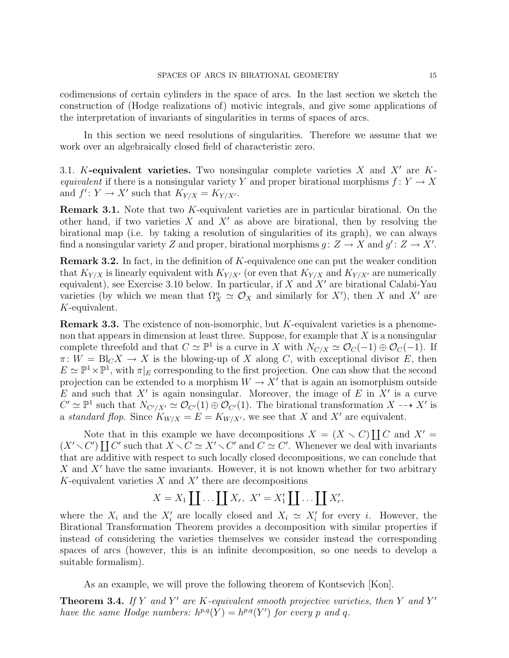codimensions of certain cylinders in the space of arcs. In the last section we sketch the construction of (Hodge realizations of) motivic integrals, and give some applications of the interpretation of invariants of singularities in terms of spaces of arcs.

In this section we need resolutions of singularities. Therefore we assume that we work over an algebraically closed field of characteristic zero.

3.1. K-equivalent varieties. Two nonsingular complete varieties  $X$  and  $X'$  are Kequivalent if there is a nonsingular variety Y and proper birational morphisms  $f: Y \to X$ and  $f' : Y \to X'$  such that  $K_{Y/X} = K_{Y/X'}$ .

Remark 3.1. Note that two K-equivalent varieties are in particular birational. On the other hand, if two varieties X and X' as above are birational, then by resolving the birational map (i.e. by taking a resolution of singularities of its graph), we can always find a nonsingular variety Z and proper, birational morphisms  $g: Z \to X$  and  $g' : Z \to X'$ .

**Remark 3.2.** In fact, in the definition of  $K$ -equivalence one can put the weaker condition that  $K_{Y/X}$  is linearly equivalent with  $K_{Y/X'}$  (or even that  $K_{Y/X}$  and  $K_{Y/X'}$  are numerically equivalent), see Exercise 3.10 below. In particular, if  $X$  and  $X'$  are birational Calabi-Yau varieties (by which we mean that  $\Omega_X^n \simeq \mathcal{O}_X$  and similarly for X'), then X and X' are K-equivalent.

**Remark 3.3.** The existence of non-isomorphic, but  $K$ -equivalent varieties is a phenomenon that appears in dimension at least three. Suppose, for example that  $X$  is a nonsingular complete threefold and that  $C \simeq \mathbb{P}^1$  is a curve in X with  $N_{C/X} \simeq \mathcal{O}_C(-1) \oplus \mathcal{O}_C(-1)$ . If  $\pi: W = \text{Bl}_{C} X \to X$  is the blowing-up of X along C, with exceptional divisor E, then  $E \simeq \mathbb{P}^1 \times \mathbb{P}^1$ , with  $\pi|_E$  corresponding to the first projection. One can show that the second projection can be extended to a morphism  $W \to X'$  that is again an isomorphism outside E and such that  $X'$  is again nonsingular. Moreover, the image of E in  $X'$  is a curve  $C' \simeq \mathbb{P}^1$  such that  $N_{C'/X'} \simeq \mathcal{O}_{C'}(1) \oplus \mathcal{O}_{C'}(1)$ . The birational transformation  $X \dashrightarrow X'$  is a standard flop. Since  $K_{W/X} = E = K_{W/X}$ , we see that X and X' are equivalent.

Note that in this example we have decompositions  $X = (X \setminus C) \coprod C$  and  $X' =$  $(X' \setminus C')$   $\coprod C'$  such that  $X \setminus C \simeq X' \setminus C'$  and  $C \simeq C'$ . Whenever we deal with invariants that are additive with respect to such locally closed decompositions, we can conclude that X and  $X'$  have the same invariants. However, it is not known whether for two arbitrary  $K$ -equivalent varieties  $X$  and  $X'$  there are decompositions

$$
X = X_1 \coprod \ldots \coprod X_r, \ X' = X'_1 \coprod \ldots \coprod X'_r,
$$

where the  $X_i$  and the  $X'_i$  are locally closed and  $X_i \simeq X'_i$  for every i. However, the Birational Transformation Theorem provides a decomposition with similar properties if instead of considering the varieties themselves we consider instead the corresponding spaces of arcs (however, this is an infinite decomposition, so one needs to develop a suitable formalism).

As an example, we will prove the following theorem of Kontsevich [Kon].

**Theorem 3.4.** If Y and Y' are K-equivalent smooth projective varieties, then Y and Y' have the same Hodge numbers:  $h^{p,q}(Y) = h^{p,q}(Y')$  for every p and q.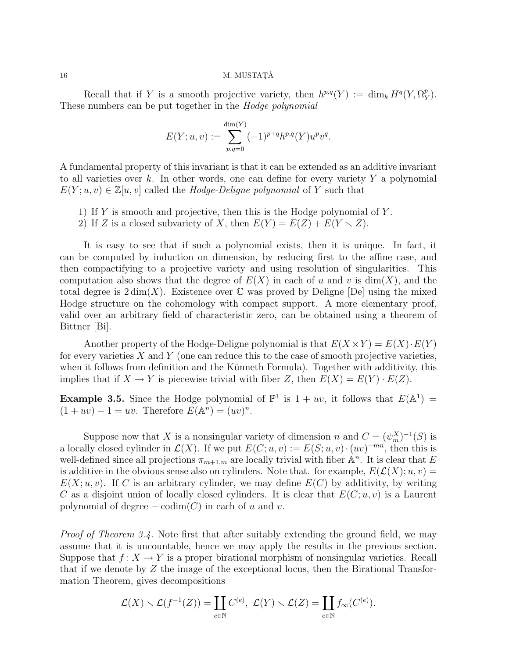## $16$  M. MUSTATĂ

Recall that if Y is a smooth projective variety, then  $h^{p,q}(Y) := \dim_k H^q(Y, \Omega_Y^p)$  $_{Y}^{p}).$ These numbers can be put together in the *Hodge polynomial* 

$$
E(Y; u, v) := \sum_{p,q=0}^{\dim(Y)} (-1)^{p+q} h^{p,q}(Y) u^p v^q.
$$

A fundamental property of this invariant is that it can be extended as an additive invariant to all varieties over k. In other words, one can define for every variety  $Y$  a polynomial  $E(Y; u, v) \in \mathbb{Z}[u, v]$  called the Hodge-Deligne polynomial of Y such that

- 1) If Y is smooth and projective, then this is the Hodge polynomial of  $Y$ .
- 2) If Z is a closed subvariety of X, then  $E(Y) = E(Z) + E(Y \setminus Z)$ .

It is easy to see that if such a polynomial exists, then it is unique. In fact, it can be computed by induction on dimension, by reducing first to the affine case, and then compactifying to a projective variety and using resolution of singularities. This computation also shows that the degree of  $E(X)$  in each of u and v is dim(X), and the total degree is  $2 \dim(X)$ . Existence over  $\mathbb C$  was proved by Deligne [De] using the mixed Hodge structure on the cohomology with compact support. A more elementary proof, valid over an arbitrary field of characteristic zero, can be obtained using a theorem of Bittner [Bi].

Another property of the Hodge-Deligne polynomial is that  $E(X \times Y) = E(X) \cdot E(Y)$ for every varieties  $X$  and  $Y$  (one can reduce this to the case of smooth projective varieties, when it follows from definition and the Künneth Formula). Together with additivity, this implies that if  $X \to Y$  is piecewise trivial with fiber Z, then  $E(X) = E(Y) \cdot E(Z)$ .

**Example 3.5.** Since the Hodge polynomial of  $\mathbb{P}^1$  is  $1 + uv$ , it follows that  $E(\mathbb{A}^1) =$  $(1 + uv) - 1 = uv$ . Therefore  $E(\mathbb{A}^n) = (uv)^n$ .

Suppose now that X is a nonsingular variety of dimension n and  $C = (\psi_m^X)^{-1}(S)$  is a locally closed cylinder in  $\mathcal{L}(X)$ . If we put  $E(C; u, v) := E(S; u, v) \cdot (uv)^{-mn}$ , then this is well-defined since all projections  $\pi_{m+1,m}$  are locally trivial with fiber  $\mathbb{A}^n$ . It is clear that E is additive in the obvious sense also on cylinders. Note that. for example,  $E(\mathcal{L}(X); u, v) =$  $E(X; u, v)$ . If C is an arbitrary cylinder, we may define  $E(C)$  by additivity, by writing C as a disjoint union of locally closed cylinders. It is clear that  $E(C; u, v)$  is a Laurent polynomial of degree  $-\text{codim}(C)$  in each of u and v.

Proof of Theorem 3.4. Note first that after suitably extending the ground field, we may assume that it is uncountable, hence we may apply the results in the previous section. Suppose that  $f: X \to Y$  is a proper birational morphism of nonsingular varieties. Recall that if we denote by  $Z$  the image of the exceptional locus, then the Birational Transformation Theorem, gives decompositions

$$
\mathcal{L}(X) \setminus \mathcal{L}(f^{-1}(Z)) = \coprod_{e \in \mathbb{N}} C^{(e)}, \ \mathcal{L}(Y) \setminus \mathcal{L}(Z) = \coprod_{e \in \mathbb{N}} f_{\infty}(C^{(e)}).
$$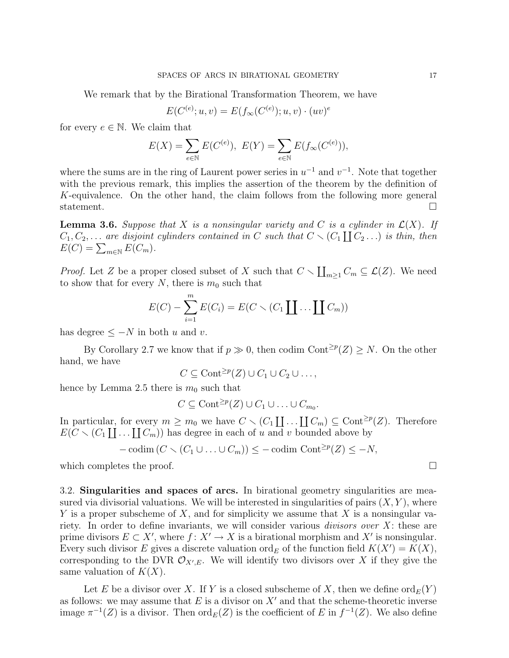We remark that by the Birational Transformation Theorem, we have

$$
E(C^{(e)}; u, v) = E(f_{\infty}(C^{(e)}); u, v) \cdot (uv)^{e}
$$

for every  $e \in \mathbb{N}$ . We claim that

$$
E(X) = \sum_{e \in \mathbb{N}} E(C^{(e)}), \ E(Y) = \sum_{e \in \mathbb{N}} E(f_{\infty}(C^{(e)})),
$$

where the sums are in the ring of Laurent power series in  $u^{-1}$  and  $v^{-1}$ . Note that together with the previous remark, this implies the assertion of the theorem by the definition of K-equivalence. On the other hand, the claim follows from the following more general statement.

**Lemma 3.6.** Suppose that X is a nonsingular variety and C is a cylinder in  $\mathcal{L}(X)$ . If  $C_1, C_2, \ldots$  are disjoint cylinders contained in C such that  $C \setminus (C_1 \coprod C_2 \ldots)$  is thin, then  $E(C) = \sum_{m \in \mathbb{N}} E(C_m).$ 

*Proof.* Let Z be a proper closed subset of X such that  $C \setminus \coprod_{m\geq 1} C_m \subseteq \mathcal{L}(Z)$ . We need to show that for every N, there is  $m_0$  such that

$$
E(C) - \sum_{i=1}^{m} E(C_i) = E(C \setminus (C_1 \coprod \ldots \coprod C_m))
$$

has degree  $\leq -N$  in both u and v.

By Corollary 2.7 we know that if  $p \gg 0$ , then codim Cont<sup>≥p</sup>(Z) ≥ N. On the other hand, we have

$$
C \subseteq \text{Cont}^{\geq p}(Z) \cup C_1 \cup C_2 \cup \ldots,
$$

hence by Lemma 2.5 there is  $m_0$  such that

$$
C \subseteq \text{Cont}^{\geq p}(Z) \cup C_1 \cup \ldots \cup C_{m_0}.
$$

In particular, for every  $m \geq m_0$  we have  $C \setminus (C_1 \coprod \ldots \coprod C_m) \subseteq \text{Cont}^{\geq p}(Z)$ . Therefore  $E(C \setminus (C_1 \coprod \ldots \coprod C_m))$  has degree in each of u and v bounded above by

$$
-\operatorname{codim}(C \setminus (C_1 \cup \ldots \cup C_m)) \le -\operatorname{codim} \operatorname{Cont}^{\ge p}(Z) \le -N,
$$

which completes the proof.  $\Box$ 

3.2. Singularities and spaces of arcs. In birational geometry singularities are measured via divisorial valuations. We will be interested in singularities of pairs  $(X, Y)$ , where Y is a proper subscheme of X, and for simplicity we assume that X is a nonsingular variety. In order to define invariants, we will consider various *divisors over*  $X$ : these are prime divisors  $E \subset X'$ , where  $f: X' \to X$  is a birational morphism and  $X'$  is nonsingular. Every such divisor E gives a discrete valuation ord<sub>E</sub> of the function field  $K(X') = K(X)$ , corresponding to the DVR  $\mathcal{O}_{X',E}$ . We will identify two divisors over X if they give the same valuation of  $K(X)$ .

Let E be a divisor over X. If Y is a closed subscheme of X, then we define  $\text{ord}_E(Y)$ as follows: we may assume that  $E$  is a divisor on  $X'$  and that the scheme-theoretic inverse image  $\pi^{-1}(Z)$  is a divisor. Then  $\text{ord}_E(Z)$  is the coefficient of E in  $f^{-1}(Z)$ . We also define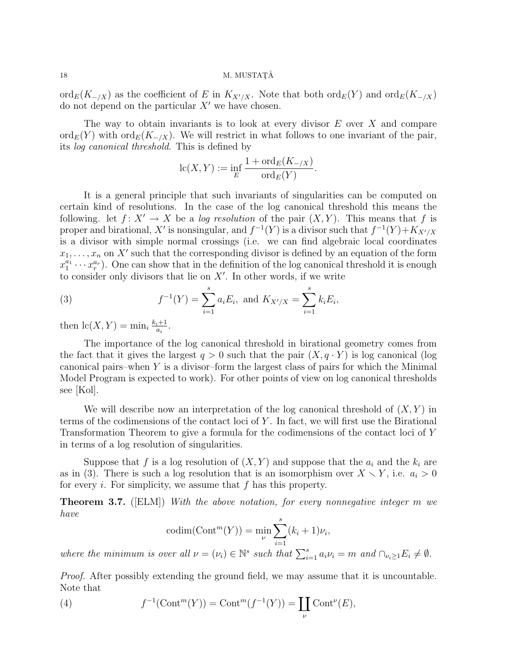18 M. MUSTAT $\check{A}$ 

ord<sub>E</sub>(K<sub>-/X</sub>) as the coefficient of E in K<sub>X'/X</sub>. Note that both ord<sub>E</sub>(Y) and ord<sub>E</sub>(K<sub>-/X</sub>) do not depend on the particular  $X'$  we have chosen.

The way to obtain invariants is to look at every divisor  $E$  over  $X$  and compare ord<sub>E</sub>(Y) with ord<sub>E</sub>(K<sub>-/X</sub>). We will restrict in what follows to one invariant of the pair, its log canonical threshold. This is defined by

$$
lc(X,Y) := \inf_{E} \frac{1 + ord_E(K_{-/X})}{ord_E(Y)}.
$$

It is a general principle that such invariants of singularities can be computed on certain kind of resolutions. In the case of the log canonical threshold this means the following. let  $f: X' \to X$  be a log resolution of the pair  $(X, Y)$ . This means that f is proper and birational, X' is nonsingular, and  $f^{-1}(Y)$  is a divisor such that  $f^{-1}(Y) + K_{X'/X}$ is a divisor with simple normal crossings (i.e. we can find algebraic local coordinates  $x_1, \ldots, x_n$  on X' such that the corresponding divisor is defined by an equation of the form  $x_1^{a_1} \cdots x_r^{a_r}$ ). One can show that in the definition of the log canonical threshold it is enough to consider only divisors that lie on  $X'$ . In other words, if we write

(3) 
$$
f^{-1}(Y) = \sum_{i=1}^{s} a_i E_i, \text{ and } K_{X'/X} = \sum_{i=1}^{s} k_i E_i,
$$

then  $lc(X, Y) = min_i \frac{k_i+1}{a_i}$  $\frac{i+1}{a_i}$ .

The importance of the log canonical threshold in birational geometry comes from the fact that it gives the largest  $q > 0$  such that the pair  $(X, q \cdot Y)$  is log canonical (log canonical pairs–when  $Y$  is a divisor–form the largest class of pairs for which the Minimal Model Program is expected to work). For other points of view on log canonical thresholds see [Kol].

We will describe now an interpretation of the log canonical threshold of  $(X, Y)$  in terms of the codimensions of the contact loci of Y . In fact, we will first use the Birational Transformation Theorem to give a formula for the codimensions of the contact loci of Y in terms of a log resolution of singularities.

Suppose that f is a log resolution of  $(X, Y)$  and suppose that the  $a_i$  and the  $k_i$  are as in (3). There is such a log resolution that is an isomorphism over  $X \setminus Y$ , i.e.  $a_i > 0$ for every i. For simplicity, we assume that  $f$  has this property.

**Theorem 3.7.** ([ELM]) With the above notation, for every nonnegative integer m we have

$$
\mathrm{codim}(\mathrm{Cont}^m(Y)) = \min_{\nu} \sum_{i=1}^s (k_i + 1)\nu_i,
$$

where the minimum is over all  $\nu = (\nu_i) \in \mathbb{N}^s$  such that  $\sum_{i=1}^s a_i \nu_i = m$  and  $\cap_{\nu_i \geq 1} E_i \neq \emptyset$ .

Proof. After possibly extending the ground field, we may assume that it is uncountable. Note that

(4) 
$$
f^{-1}(\text{Cont}^m(Y)) = \text{Cont}^m(f^{-1}(Y)) = \coprod_{\nu} \text{Cont}^{\nu}(E),
$$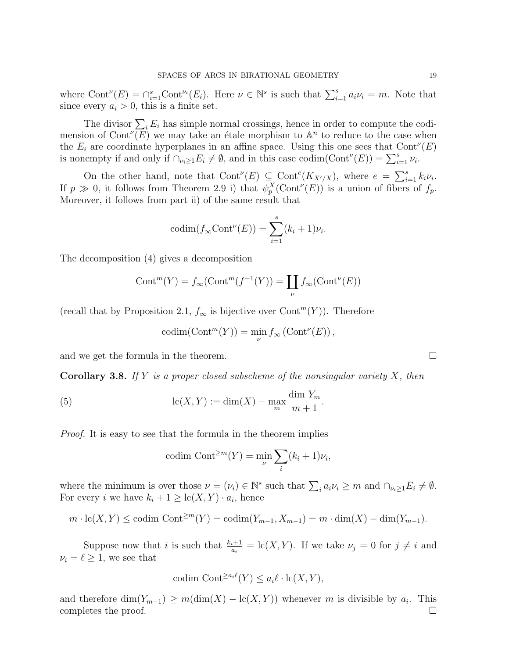where  $\text{Cont}^{\nu}(E) = \bigcap_{i=1}^{s} \text{Cont}^{\nu_i}(E_i)$ . Here  $\nu \in \mathbb{N}^s$  is such that  $\sum_{i=1}^{s} a_i \nu_i = m$ . Note that since every  $a_i > 0$ , this is a finite set.

The divisor  $\sum_i E_i$  has simple normal crossings, hence in order to compute the codimension of Cont<sup> $\nu(E)$ </sup> we may take an étale morphism to  $\mathbb{A}^n$  to reduce to the case when the  $E_i$  are coordinate hyperplanes in an affine space. Using this one sees that  $Cont^{\nu}(E)$ is nonempty if and only if  $\bigcap_{\nu_i\geq 1} E_i \neq \emptyset$ , and in this case codim( $Cont^{\nu}(E)) = \sum_{i=1}^{s} \nu_i$ .

On the other hand, note that  $\text{Cont}^{\nu}(E) \subseteq \text{Cont}^e(K_{X'/X})$ , where  $e = \sum_{i=1}^s k_i \nu_i$ . If  $p \gg 0$ , it follows from Theorem 2.9 i) that  $\psi_p^X(\text{Cont}^{\nu}(E))$  is a union of fibers of  $f_p$ . Moreover, it follows from part ii) of the same result that

$$
\mathrm{codim}(f_{\infty}\mathrm{Cont}^{\nu}(E))=\sum_{i=1}^{s}(k_i+1)\nu_i.
$$

The decomposition (4) gives a decomposition

$$
Cont^{m}(Y) = f_{\infty} (Cont^{m}(f^{-1}(Y)) = \coprod_{\nu} f_{\infty} (Cont^{\nu}(E))
$$

(recall that by Proposition 2.1,  $f_{\infty}$  is bijective over Cont<sup>m</sup>(Y)). Therefore

$$
\mathrm{codim}(\mathrm{Cont}^m(Y)) = \min_{\nu} f_{\infty}(\mathrm{Cont}^{\nu}(E)),
$$

and we get the formula in the theorem.  $\Box$ 

**Corollary 3.8.** If Y is a proper closed subscheme of the nonsingular variety X, then

(5) 
$$
\operatorname{lc}(X, Y) := \dim(X) - \max_{m} \frac{\dim Y_m}{m+1}.
$$

Proof. It is easy to see that the formula in the theorem implies

$$
codim \tCont^{\geq m}(Y) = \min_{\nu} \sum_{i} (k_i + 1)\nu_i,
$$

where the minimum is over those  $\nu = (\nu_i) \in \mathbb{N}^s$  such that  $\sum_i a_i \nu_i \geq m$  and  $\cap_{\nu_i \geq 1} E_i \neq \emptyset$ . For every *i* we have  $k_i + 1 \geq \text{lc}(X, Y) \cdot a_i$ , hence

$$
m \cdot lc(X, Y) \leq \operatorname{codim} \operatorname{Cont}^{\geq m}(Y) = \operatorname{codim}(Y_{m-1}, X_{m-1}) = m \cdot \dim(X) - \dim(Y_{m-1}).
$$

Suppose now that i is such that  $\frac{k_i+1}{a_i} = \text{lc}(X, Y)$ . If we take  $\nu_j = 0$  for  $j \neq i$  and  $\nu_i = \ell \geq 1$ , we see that

$$
\mathrm{codim}\ \mathrm{Cont}^{\ge a_i \ell}(Y) \le a_i \ell \cdot \mathrm{lc}(X, Y),
$$

and therefore  $\dim(Y_{m-1}) \geq m(\dim(X) - \mathrm{lc}(X, Y))$  whenever m is divisible by  $a_i$ . This completes the proof.  $\Box$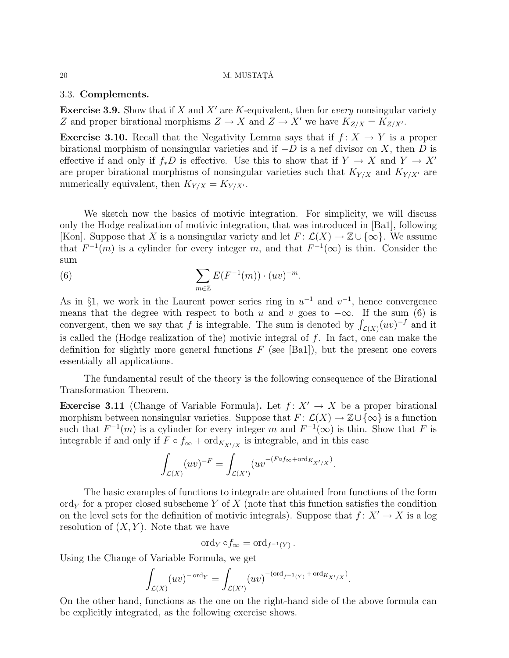#### $20$  M. MUSTATĂ

### 3.3. Complements.

**Exercise 3.9.** Show that if X and X' are K-equivalent, then for *every* nonsingular variety Z and proper birational morphisms  $Z \to X$  and  $Z \to X'$  we have  $K_{Z/X} = K_{Z/X'}$ .

**Exercise 3.10.** Recall that the Negativity Lemma says that if  $f: X \rightarrow Y$  is a proper birational morphism of nonsingular varieties and if  $-D$  is a nef divisor on X, then D is effective if and only if  $f_*D$  is effective. Use this to show that if  $Y \to X$  and  $Y \to X'$ are proper birational morphisms of nonsingular varieties such that  $K_{Y/X}$  and  $K_{Y/X'}$  are numerically equivalent, then  $K_{Y/X} = K_{Y/X}$ .

We sketch now the basics of motivic integration. For simplicity, we will discuss only the Hodge realization of motivic integration, that was introduced in [Ba1], following [Kon]. Suppose that X is a nonsingular variety and let  $F: \mathcal{L}(X) \to \mathbb{Z} \cup \{\infty\}$ . We assume that  $F^{-1}(m)$  is a cylinder for every integer m, and that  $F^{-1}(\infty)$  is thin. Consider the sum

(6) 
$$
\sum_{m\in\mathbb{Z}} E(F^{-1}(m)) \cdot (uv)^{-m}.
$$

As in §1, we work in the Laurent power series ring in  $u^{-1}$  and  $v^{-1}$ , hence convergence means that the degree with respect to both u and v goes to  $-\infty$ . If the sum (6) is convergent, then we say that f is integrable. The sum is denoted by  $\int_{\mathcal{L}(X)} (uv)^{-f}$  and it is called the (Hodge realization of the) motivic integral of  $f$ . In fact, one can make the definition for slightly more general functions  $F$  (see [Ba1]), but the present one covers essentially all applications.

The fundamental result of the theory is the following consequence of the Birational Transformation Theorem.

**Exercise 3.11** (Change of Variable Formula). Let  $f: X' \to X$  be a proper birational morphism between nonsingular varieties. Suppose that  $F: \mathcal{L}(X) \to \mathbb{Z} \cup {\infty}$  is a function such that  $F^{-1}(m)$  is a cylinder for every integer m and  $F^{-1}(\infty)$  is thin. Show that F is integrable if and only if  $F \circ f_{\infty} + \text{ord}_{K_{X'/X}}$  is integrable, and in this case

$$
\int_{\mathcal{L}(X)} (uv)^{-F} = \int_{\mathcal{L}(X')} (uv^{-(F \circ f_{\infty} + \text{ord}_{K_{X'/X}})}).
$$

The basic examples of functions to integrate are obtained from functions of the form ord<sub>Y</sub> for a proper closed subscheme Y of X (note that this function satisfies the condition on the level sets for the definition of motivic integrals). Suppose that  $f: X' \to X$  is a log resolution of  $(X, Y)$ . Note that we have

$$
\mathrm{ord}_Y \circ f_{\infty} = \mathrm{ord}_{f^{-1}(Y)} \, .
$$

Using the Change of Variable Formula, we get

$$
\int_{\mathcal{L}(X)} (uv)^{-\operatorname{ord}_Y} = \int_{\mathcal{L}(X')} (uv)^{-(\operatorname{ord}_{f^{-1}(Y)} + \operatorname{ord}_{K_{X'/X}})}.
$$

On the other hand, functions as the one on the right-hand side of the above formula can be explicitly integrated, as the following exercise shows.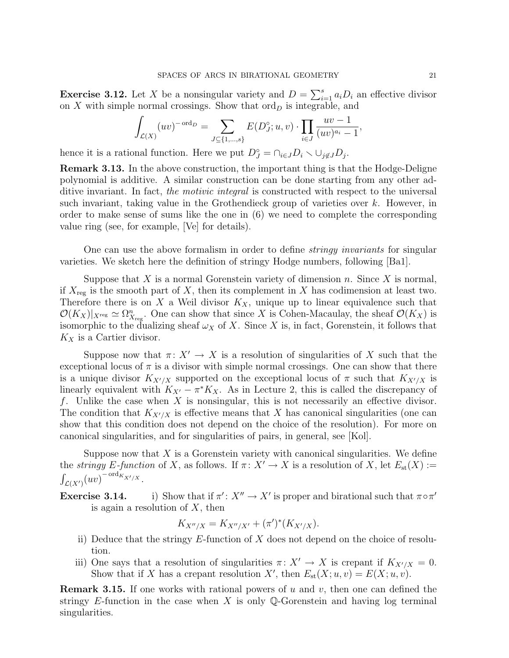**Exercise 3.12.** Let X be a nonsingular variety and  $D = \sum_{i=1}^{s} a_i D_i$  an effective divisor on X with simple normal crossings. Show that  $\text{ord}_D$  is integrable, and

$$
\int_{\mathcal{L}(X)} (uv)^{-\text{ord}_D} = \sum_{J \subseteq \{1, ..., s\}} E(D_J^{\circ}; u, v) \cdot \prod_{i \in J} \frac{uv - 1}{(uv)^{a_i} - 1},
$$

hence it is a rational function. Here we put  $D_J^{\circ} = \bigcap_{i \in J} D_i \setminus \bigcup_{j \notin J} D_j$ .

Remark 3.13. In the above construction, the important thing is that the Hodge-Deligne polynomial is additive. A similar construction can be done starting from any other additive invariant. In fact, the motivic integral is constructed with respect to the universal such invariant, taking value in the Grothendieck group of varieties over  $k$ . However, in order to make sense of sums like the one in (6) we need to complete the corresponding value ring (see, for example, [Ve] for details).

One can use the above formalism in order to define *stringy invariants* for singular varieties. We sketch here the definition of stringy Hodge numbers, following [Ba1].

Suppose that X is a normal Gorenstein variety of dimension n. Since X is normal, if  $X_{\text{reg}}$  is the smooth part of X, then its complement in X has codimension at least two. Therefore there is on X a Weil divisor  $K_X$ , unique up to linear equivalence such that  $\mathcal{O}(K_X)|_{X_{\text{reg}}}\simeq \Omega_{X_{\text{reg}}}^n$ . One can show that since X is Cohen-Macaulay, the sheaf  $\mathcal{O}(K_X)$  is isomorphic to the dualizing sheaf  $\omega_X$  of X. Since X is, in fact, Gorenstein, it follows that  $K_X$  is a Cartier divisor.

Suppose now that  $\pi: X' \to X$  is a resolution of singularities of X such that the exceptional locus of  $\pi$  is a divisor with simple normal crossings. One can show that there is a unique divisor  $K_{X'/X}$  supported on the exceptional locus of  $\pi$  such that  $K_{X'/X}$  is linearly equivalent with  $K_{X'} - \pi^* K_X$ . As in Lecture 2, this is called the discrepancy of f. Unlike the case when  $X$  is nonsingular, this is not necessarily an effective divisor. The condition that  $K_{X'/X}$  is effective means that X has canonical singularities (one can show that this condition does not depend on the choice of the resolution). For more on canonical singularities, and for singularities of pairs, in general, see [Kol].

Suppose now that  $X$  is a Gorenstein variety with canonical singularities. We define the *stringy E-function* of X, as follows. If  $\pi: X' \to X$  is a resolution of X, let  $E_{st}(X) :=$  $\int_{\mathcal{L}(X')}(uv)^{-\operatorname{ord}_{K_{X'/X}}}.$ 

Exercise 3.14. i) Show that if  $\pi' : X'' \to X'$  is proper and birational such that  $\pi \circ \pi'$ is again a resolution of  $X$ , then

$$
K_{X''/X} = K_{X''/X'} + (\pi')^*(K_{X'/X}).
$$

- ii) Deduce that the stringy  $E$ -function of  $X$  does not depend on the choice of resolution.
- iii) One says that a resolution of singularities  $\pi: X' \to X$  is crepant if  $K_{X'/X} = 0$ . Show that if X has a crepant resolution X', then  $E_{\text{st}}(X; u, v) = E(X; u, v)$ .

**Remark 3.15.** If one works with rational powers of u and v, then one can defined the stringy E-function in the case when X is only Q-Gorenstein and having log terminal singularities.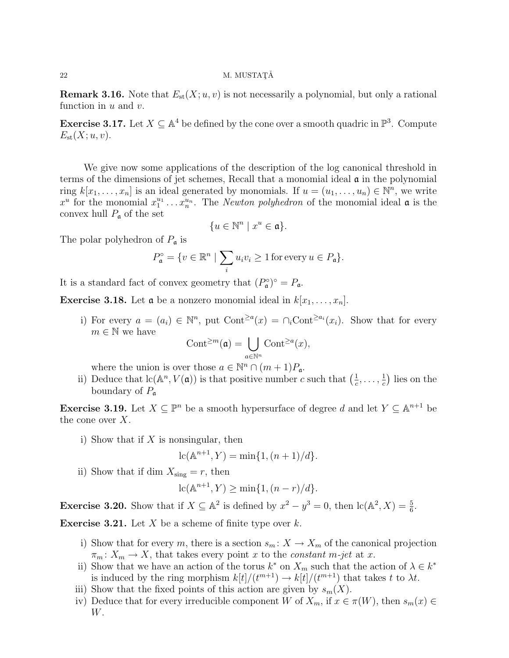### $22$  M. MUSTATĂ

**Remark 3.16.** Note that  $E_{st}(X; u, v)$  is not necessarily a polynomial, but only a rational function in  $u$  and  $v$ .

**Exercise 3.17.** Let  $X \subseteq \mathbb{A}^4$  be defined by the cone over a smooth quadric in  $\mathbb{P}^3$ . Compute  $E_{\rm st}(X; u, v)$ .

We give now some applications of the description of the log canonical threshold in terms of the dimensions of jet schemes, Recall that a monomial ideal  $\alpha$  in the polynomial ring  $k[x_1, \ldots, x_n]$  is an ideal generated by monomials. If  $u = (u_1, \ldots, u_n) \in \mathbb{N}^n$ , we write  $x^u$  for the monomial  $x_1^{u_1} \ldots x_n^{u_n}$ . The *Newton polyhedron* of the monomial ideal  $\mathfrak a$  is the convex hull  $P_{\mathfrak{a}}$  of the set

$$
\{u \in \mathbb{N}^n \mid x^u \in \mathfrak{a}\}.
$$

The polar polyhedron of  $P_{\mathfrak{a}}$  is

$$
P_{\mathfrak{a}}^{\circ} = \{ v \in \mathbb{R}^n \mid \sum_i u_i v_i \ge 1 \text{ for every } u \in P_{\mathfrak{a}} \}.
$$

It is a standard fact of convex geometry that  $(P_{\mathfrak{a}}^{\circ})^{\circ} = P_{\mathfrak{a}}$ .

**Exercise 3.18.** Let **a** be a nonzero monomial ideal in  $k[x_1, \ldots, x_n]$ .

i) For every  $a = (a_i) \in \mathbb{N}^n$ , put  $\text{Cont}^{\ge a}(x) = \bigcap_i \text{Cont}^{\ge a_i}(x_i)$ . Show that for every  $m \in \mathbb{N}$  we have

$$
\mathrm{Cont}^{\geq m}(\mathfrak a)=\bigcup_{a\in\mathbb N^n}\mathrm{Cont}^{\geq a}(x),
$$

where the union is over those  $a \in \mathbb{N}^n \cap (m+1)P_a$ .

ii) Deduce that  $\text{lc}(\mathbb{A}^n, V(\mathfrak{a}))$  is that positive number c such that  $\left(\frac{1}{c}\right)$  $\frac{1}{c}, \ldots, \frac{1}{c}$  $\frac{1}{c}$ ) lies on the boundary of  $P_{\mathfrak{a}}$ 

**Exercise 3.19.** Let  $X \subseteq \mathbb{P}^n$  be a smooth hypersurface of degree d and let  $Y \subseteq \mathbb{A}^{n+1}$  be the cone over  $X$ .

i) Show that if  $X$  is nonsingular, then

$$
lc(A^{n+1}, Y) = min{1, (n+1)/d}.
$$

ii) Show that if dim  $X_{\text{sing}} = r$ , then

$$
lc(A^{n+1}, Y) \ge \min\{1, (n-r)/d\}.
$$

**Exercise 3.20.** Show that if  $X \subseteq \mathbb{A}^2$  is defined by  $x^2 - y^3 = 0$ , then  $\text{lc}(\mathbb{A}^2, X) = \frac{5}{6}$ .

**Exercise 3.21.** Let  $X$  be a scheme of finite type over  $k$ .

- i) Show that for every m, there is a section  $s_m: X \to X_m$  of the canonical projection  $\pi_m: X_m \to X$ , that takes every point x to the constant m-jet at x.
- ii) Show that we have an action of the torus  $k^*$  on  $X_m$  such that the action of  $\lambda \in k^*$ is induced by the ring morphism  $k[t]/(t^{m+1}) \to k[t]/(t^{m+1})$  that takes t to  $\lambda t$ .
- iii) Show that the fixed points of this action are given by  $s_m(X)$ .
- iv) Deduce that for every irreducible component W of  $X_m$ , if  $x \in \pi(W)$ , then  $s_m(x) \in$ W.